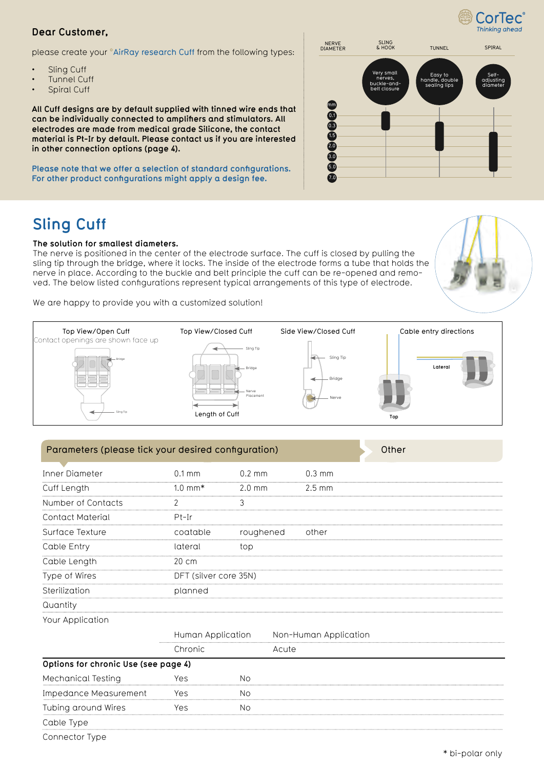# CorTec Thinking ahead

## **Dear Customer,**

please create your °AirRay research Cuff from the following types:

- Sling Cuff
- **Tunnel Cuff**
- Spiral Cuff

**All Cuff designs are by default supplied with tinned wire ends that can be individually connected to amplifers and stimulators. All electrodes are made from medical grade Silicone, the contact material is Pt-Ir by default. Please contact us if you are interested in other connection options (page 4).**

**Please note that we offer a selection of standard confgurations. For other product confgurations might apply a design fee.**

# **Sling Cuff**

### **The solution for smallest diameters.**

The nerve is positioned in the center of the electrode surface. The cuff is closed by pulling the sling tip through the bridge, where it locks. The inside of the electrode forms a tube that holds the nerve in place. According to the buckle and belt principle the cuff can be re-opened and removed. The below listed confgurations represent typical arrangements of this type of electrode.

We are happy to provide you with a customized solution!



| Parameters (please tick your desired configuration)<br>Other |                     |                       |       |                       |  |  |  |  |
|--------------------------------------------------------------|---------------------|-----------------------|-------|-----------------------|--|--|--|--|
| <b>Inner Diameter</b>                                        | $0.1 \, \text{mm}$  | $0.2 \text{ mm}$      |       | $0.3$ mm              |  |  |  |  |
| Cuff Length                                                  | $1.0 \, \text{mm*}$ | $2.0 \text{ mm}$      |       | $2.5 \text{ mm}$      |  |  |  |  |
| Number of Contacts                                           | 2                   | 3                     |       |                       |  |  |  |  |
| <b>Contact Material</b>                                      | $Pt-Ir$             |                       |       |                       |  |  |  |  |
| Surface Texture                                              | coatable            | roughened             |       | other                 |  |  |  |  |
| Cable Entry                                                  | lateral             | top                   |       |                       |  |  |  |  |
| Cable Length                                                 | 20 cm               |                       |       |                       |  |  |  |  |
| Type of Wires                                                |                     | DFT (silver core 35N) |       |                       |  |  |  |  |
| Sterilization                                                | planned             |                       |       |                       |  |  |  |  |
| Quantity                                                     |                     |                       |       |                       |  |  |  |  |
| Your Application                                             |                     |                       |       |                       |  |  |  |  |
|                                                              | Human Application   |                       |       | Non-Human Application |  |  |  |  |
|                                                              | Chronic             |                       | Acute |                       |  |  |  |  |
| Options for chronic Use (see page 4)                         |                     |                       |       |                       |  |  |  |  |
| Mechanical Testing                                           | Yes                 | <b>No</b>             |       |                       |  |  |  |  |
| <b>Impedance Measurement</b>                                 | Yes                 | <b>No</b>             |       |                       |  |  |  |  |
| Tubing around Wires                                          | Yes                 | No                    |       |                       |  |  |  |  |
| Cable Type                                                   |                     |                       |       |                       |  |  |  |  |
| <b>Connector Type</b>                                        |                     |                       |       |                       |  |  |  |  |

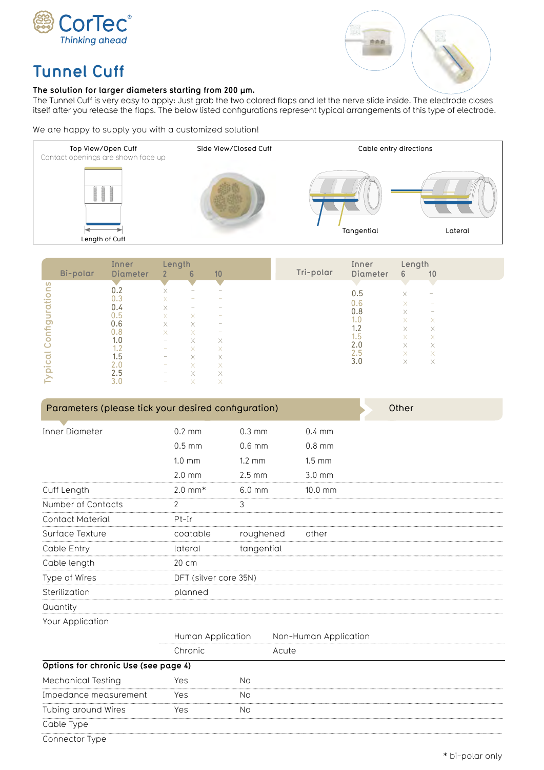



# **Tunnel Cuff**

### **The solution for larger diameters starting from 200 μm.**

The Tunnel Cuff is very easy to apply: Just grab the two colored flaps and let the nerve slide inside. The electrode closes itself after you release the flaps. The below listed configurations represent typical arrangements of this type of electrode.

We are happy to supply you with a customized solution!



|                            |          | Inner           | Length                   |   |                          |           | Inner    | Length   |                                                                           |  |
|----------------------------|----------|-----------------|--------------------------|---|--------------------------|-----------|----------|----------|---------------------------------------------------------------------------|--|
|                            | Bi-polar | <b>Diameter</b> | 2 <sup>1</sup>           | 6 | 10                       | Tri-polar | Diameter | 6        | 10                                                                        |  |
| <b>S</b>                   |          |                 |                          |   |                          |           |          |          |                                                                           |  |
|                            |          | 0.2             | X                        | - | $\overline{\phantom{a}}$ |           | 0.5      | X.       | -                                                                         |  |
| $\circ$ $\equiv$<br>السابد |          | 0.3             | X                        |   |                          |           | 0.6      |          | $\overline{\phantom{a}}$                                                  |  |
|                            |          | 0.4             | X                        |   |                          |           | 0.8      | X.       | $\hspace{1.0cm} \rule{1.5cm}{0.15cm} \hspace{1.0cm} \rule{1.5cm}{0.15cm}$ |  |
|                            |          | 0.5             | $\times$                 | X | ۰                        |           |          | X        |                                                                           |  |
| $\sigma$                   |          | 0.6             | X                        | X | $\overline{\phantom{a}}$ |           | 1.0      | X.       | X                                                                         |  |
|                            |          | 0.8             | $\times$                 | X | $\overline{\phantom{a}}$ |           | 1.2      | $\times$ | X                                                                         |  |
|                            |          | 1.0             | $\overline{\phantom{a}}$ | X | X                        |           | 1.5      | X.       | X                                                                         |  |
|                            |          | 1.2             | $\overline{\phantom{a}}$ | X | X.                       |           | 2.0      | X.       | X                                                                         |  |
|                            |          | 1.5             | -                        | X | X                        |           | 2.5      | X.       | X                                                                         |  |
| <u>ں</u>                   |          | 2.0             | $\overline{\phantom{a}}$ | X | X.                       |           | 3.0      | X        | X                                                                         |  |
| $\Omega$                   |          | 2.5             | $\overline{\phantom{a}}$ | X | X                        |           |          |          |                                                                           |  |
|                            |          | 3.0             | $\overline{\phantom{a}}$ | Χ | $\checkmark$<br>Δ.       |           |          |          |                                                                           |  |

| Parameters (please tick your desired configuration)<br>Other |                    |                       |           |                       |  |  |  |  |
|--------------------------------------------------------------|--------------------|-----------------------|-----------|-----------------------|--|--|--|--|
| Inner Diameter                                               | $0.2 \text{ mm}$   | $0.3 \text{ mm}$      |           | $0.4 \text{ mm}$      |  |  |  |  |
|                                                              | $0.5$ mm           | $0.6$ mm              |           | $0.8$ mm              |  |  |  |  |
|                                                              | $1.0 \text{ mm}$   | $1.2 \text{ mm}$      |           | $1.5 \text{ mm}$      |  |  |  |  |
|                                                              | $2.0 \text{ mm}$   | $2.5 \text{ mm}$      |           | $3.0 \text{ mm}$      |  |  |  |  |
| Cuff Length                                                  | $2.0 \text{ mm}^*$ | $6.0$ mm              |           | 10.0 mm               |  |  |  |  |
| Number of Contacts                                           | $\overline{2}$     | $\mathfrak{Z}$        |           |                       |  |  |  |  |
| <b>Contact Material</b>                                      | $Pt-Ir$            |                       |           |                       |  |  |  |  |
| Surface Texture                                              | coatable           |                       | roughened | other                 |  |  |  |  |
| Cable Entry                                                  | lateral            | tangential            |           |                       |  |  |  |  |
| Cable length                                                 | 20 cm              |                       |           |                       |  |  |  |  |
| Type of Wires                                                |                    | DFT (silver core 35N) |           |                       |  |  |  |  |
| Sterilization                                                | planned            |                       |           |                       |  |  |  |  |
| Quantity                                                     |                    |                       |           |                       |  |  |  |  |
| Your Application                                             |                    |                       |           |                       |  |  |  |  |
|                                                              |                    | Human Application     |           | Non-Human Application |  |  |  |  |
|                                                              | Chronic            |                       | Acute     |                       |  |  |  |  |
| Options for chronic Use (see page 4)                         |                    |                       |           |                       |  |  |  |  |
| Mechanical Testing                                           | Yes                | <b>No</b>             |           |                       |  |  |  |  |
| Impedance measurement                                        | Yes                | No.                   |           |                       |  |  |  |  |
| Tubing around Wires                                          | Yes                | <b>No</b>             |           |                       |  |  |  |  |
| والتلاب المرابطات                                            |                    |                       |           |                       |  |  |  |  |

Cable Type

Connector Type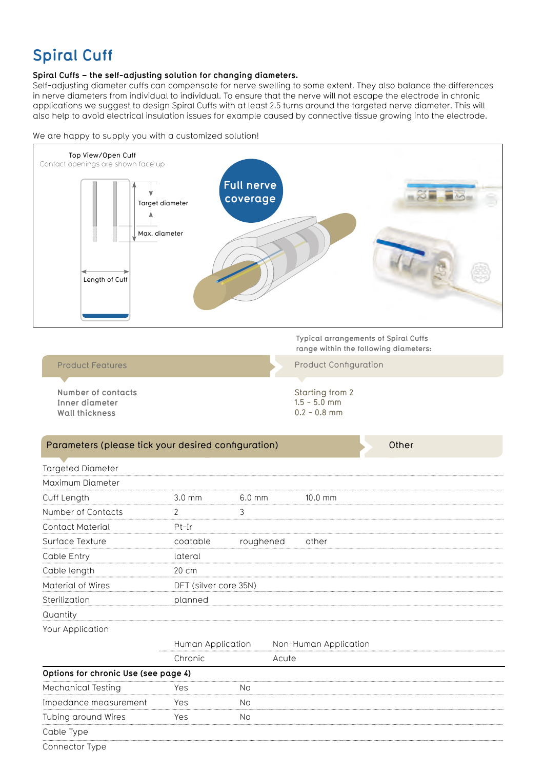# **Spiral Cuff**

### **Spiral Cuffs – the self-adjusting solution for changing diameters.**

Self-adjusting diameter cuffs can compensate for nerve swelling to some extent. They also balance the differences in nerve diameters from individual to individual. To ensure that the nerve will not escape the electrode in chronic applications we suggest to design Spiral Cuffs with at least 2.5 turns around the targeted nerve diameter. This will also help to avoid electrical insulation issues for example caused by connective tissue growing into the electrode.



We are happy to supply you with a customized solution!

# Targeted Diameter Maximum Diameter Cuff Length 3.0 mm 6.0 mm 10.0 mm Number of Contacts 2 3 Contact Material Pt-Ir Surface Texture **Coatable** roughened other Cable Entry lateral Cable length 20 cm Material of Wires DFT (silver core 35N) Sterilization planned Quantity Your Application Human Application Non-Human Application Chronic Acute **Options for chronic Use (see page 4)** Mechanical Testing The Yes No Impedance measurement Yes No Tubing around Wires Yes No Cable Type Parameters (please tick your desired configuration) and a settlement of the Other

Connector Type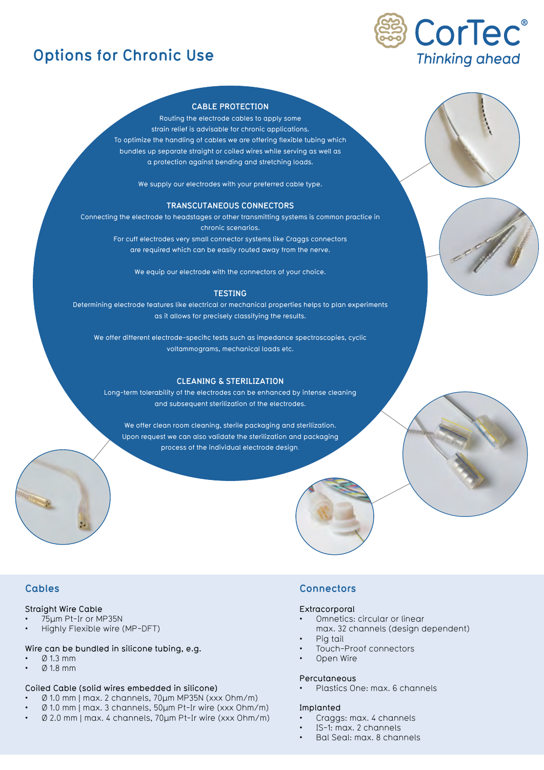# **Options for Chronic Use**



### **CABLE PROTECTION**

Routing the electrode cables to apply some strain relief is advisable for chronic applications. To optimize the handling of cables we are offering flexible tubing which bundles up separate straight or coiled wires while serving as well as a protection against bending and stretching loads.

We supply our electrodes with your preferred cable type.

#### **TRANSCUTANEOUS CONNECTORS**

Connecting the electrode to headstages or other transmitting systems is common practice in chronic scenarios. For cuff electrodes very small connector systems like Craggs connectors are required which can be easily routed away from the nerve.

We equip our electrode with the connectors of your choice.

#### **TESTING**

Determining electrode features like electrical or mechanical properties helps to plan experiments as it allows for precisely classifying the results.

We offer different electrode-specifc tests such as impedance spectroscopies, cyclic voltammograms, mechanical loads etc.

#### **CLEANING & STERILIZATION**

Long-term tolerability of the electrodes can be enhanced by intense cleaning and subsequent sterilization of the electrodes.

We offer clean room cleaning, sterile packaging and sterilization. Upon request we can also validate the sterilization and packaging process of the individual electrode design.

## **Cables**

## Straight Wire Cable

- 75µm Pt-Ir or MP35N
- Highly Flexible wire (MP-DFT)

#### Wire can be bundled in silicone tubing, e.g.

- $\varnothing$  1.3 mm
- Ø 1.8 mm

#### Coiled Cable (solid wires embedded in silicone)

- Ø 1.0 mm | max. 2 channels, 70µm MP35N (xxx Ohm/m)
- Ø 1.0 mm | max. 3 channels, 50µm Pt-Ir wire (xxx Ohm/m)
- Ø 2.0 mm | max. 4 channels, 70µm Pt-Ir wire (xxx Ohm/m)

## **Connectors**

#### Extracorporal

- Omnetics: circular or linear
	- max. 32 channels (design dependent)
- Pig tail
- Touch-Proof connectors
- Open Wire

#### **Percutaneous**

• Plastics One: max. 6 channels

#### Implanted

- Craggs: max. 4 channels
- IS-1: max. 2 channels
- Bal Seal: max. 8 channels